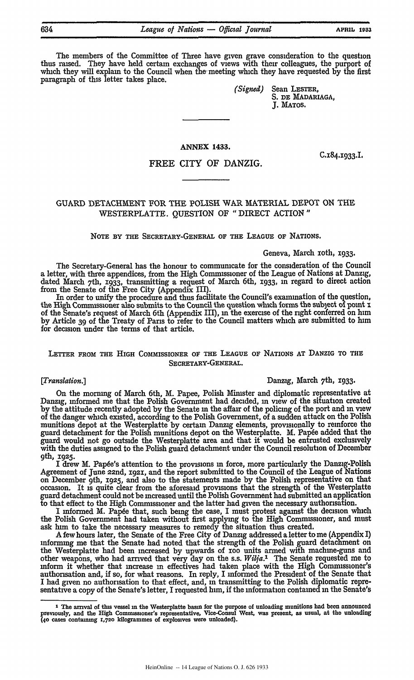The members of the Committee of Three have given grave consideration to the question thus raised. They have held certain exchanges of views with their colleagues, the purport of which they will explain to the Council when the, meeting which they have requested **by** the first paragraph of this letter takes place.

> *(Signed)* Sean LESTER, **S. DE** MADARIAGA, **J. MATOS.**

## **ANNEX 1433.**

## FREE CITY OF DANZIG.

# GUARD DETACHMENT FOR THE POLISH WAR MATERIAL DEPOT ON **THE** WESTERPLATTE. QUESTION OF "DIRECT ACTION"

NOTE **BY THE** SECRETARY-GENERAL OF THE LEAGUE OF NATIONS.

### Geneva, March xoth, **1933.**

The Secretary-General has the honour to commumcate for the consideration of the Council a letter, with three appendices, from the High Commissioner of the League of Nations at Danzig, dated March 7th, i933, transmitting a request of March 6th, **1933,** in regard to direct action from the Senate of the Free City (Appendix III).

In order to unify the procedure and thus facilitate the Council's examination of the question, the High Commissioner also submits to the Council the question which forms the subject of point **x** of the Senate's request of March 6th (Appendix III), in the exercise of the right conferred on him **by** Article **39** of the Treaty of **Paris** to refer to the Council matters which **are** submitted to him for decision under the terms of that article.

## LETTER FROM **THE** HIGH COMMISSIONER OF **THE** LEAGUE OF **NATIONS AT DANZIG** TO THE SECRETARY-GENERAL.

### *[Translation.]* Danzig, March 7th, X933.

On the morning of March 6th, M. Papee, Polish Minister and diplomatic representative at Danzig, informed me that the Polish Government had decided, in view of the situation created **by** the attitude recently adopted **by** the Senate **in** the affair of the policing of the port and in view of the danger which existed, according to the Polish Government, of a sudden attack on the Polish munitions depot at the Westerplatte **by** certain Danzig elements, provisionally to reinforce the guard detachment for the Polish munitions depot on the Westerplatte. M. Papée added that the guard would not go outside the Westerplatte area and that it would be entrusted exclusively with the duties assigned to the Polish guard detachment under the Council resolution of December <sup>9</sup>th, **19z5.**

I drew M. Pap6e's attention to the provisions **in** force, more particularly the Danzig-Polish Agreement of June 22nd, **i92,** and the report submitted to the Council of **the** League of Nations on December 9th, **1925,** and also to the statements made by the Polish representative on that occasion. It is quite clear from the aforesaid provisions that the strength of the Westerplatte guard detachment could not be increased until the Polish Government **had** submitted **an application** to that effect to the High Commissioner and the latter had given the necessary authonsation.

I informed M. Papée that, such being the case, I must protest against the decision which the Polish Government had taken without first applying to the High Commissioner, and must ask him to take the necessary measures to remedy the situation thus created.

A few hours later, the Senate of the Free City of Danzig addressed a letter to me (Appendix I) mforming me that the Senate had noted that the strength of the Polish guard detachment on the Westerplatte had been increased by upwards of ioo units armed with machme-guns and other weapons, who had arrived that very day on the s.s. *Wilja.2* The Senate requested me to inform it whether that increase **in** effectives had taken place with the High Commissioner's authorisation and, **if** so, for what reasons. In reply, I informed the President of the Senate that I had given no authorisation to that effect, and, in transmitting to the Polish diplomatic representative a copy of the Senate's letter, I requested him, if the information contained in the Senate's

**C,184.933.L**

**<sup>1</sup> The arrival of this vessel in the Westerplatte basin for the purpose of unloading munitions had been announced previously, and the High Commissioner's representative, Vice-Consul West, was present, as usual, at the unloading (4o cases containing z,7o kilogrammes of explosives were unloaded).**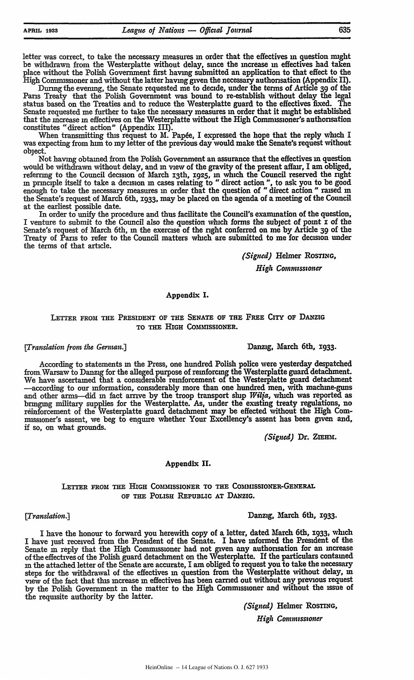letter was correct, to take the necessary measures **in** order that the effectives in question might be withdrawn from the Westerplatte without delay, since the increase **in** effectives had taken place without the Polish Government first having submitted an application to that effect to the High Commissioner and without the latter having given the necessary authonsation (Appendix **II).**

During the evening, the Senate requested me to decide, under the terms of Article **39** of the Pans Treaty that the Polish Government was bound to re-establish without delay the legal status based on the Treaties and to reduce the Westerplatte guard to the effectives fixed. The Senate requested me further to take the necessary measures in order that it might be established that the increase **in** effectives on the Westerplatte without the High Commissioner's authorisation constitutes "direct action" (Appendix III).

When transmitting this request to M. Papée, I expressed the hope that the reply which I was expecting from him to my letter of the previous day would make the Senate's request without object.

Not having obtained from the Polish Government an assurance that the effectives **in** question would be withdrawn without delay, and **in** view of the gravity of the present affair, I am obliged, referring to the Council decision of March i3th, **1925, in** which the Council reserved the right in principle itself to take a decision **in** cases relating to "direct action **",** to ask you to be good enough to take the necessary measures in order that the question of "direct action" raised **in** the Senate's request of March 6th, **1933,** may be placed on the agenda of a meeting of the Council at the earliest possible date.

In order to unify the procedure and thus facilitate the Council's examination of the question, I venture to submit to the Council also the question which forms the subject of point **I** of the Senate's request of March 6th, **in** the exercise of the right conferred on me **by** Article 39 of the Treaty of Paris to refer to the Council matters which are submitted to me for decision under the terms of that article.

*(Signed)* Helmer **ROSTING,**

*High Commssioner*

### Appendix I.

## LETTER FROM THE PRESIDENT **OF** THE **SENATE OF** THE FREE CiTy OF **DANZIG** TO THE **HIGH COMMISSIONER.**

According to statements **in** the Press, one hundred Polish police were yesterday despatched from.Warsaw to Danzig for the alleged purpose of reinforcing the Westerplatte guard detachment. We have ascertained that a considerable reinforcement of the Westerplatte guard detachment -according to our information, considerably more than one hundred men, with machme-guns **and** other arms-did in fact arrve **by** the troop transport ship *Wilfa,* which was reported as bringing military supplies for the Westerplatte. As, under the existing treaty regulations, no reinforcement of the Westerplatte guard detachment may be effected without the **High** Commissioner's assent, we beg to enquire whether Your Excellency's assent has been given and, **if** so, on what grounds.

*(Signed)* Dr. ZIEHM.

### Appendix **II.**

## LETTER **FROM THE** HIGH COMMISSIONER TO **THE** COMMISSIONER-GENERAL **OF THE** PoLIsH **REPUBLIC AT DANZIG.**

## *[Translation.)* Danzig, March 6th, **I933.**

I have the honour to forward you herewith copy of a letter, dated March 6th, **X933,** which I have just received from the President of the Senate. I have informed the President of the Senate in reply that the High Commissioner had not given any authonsation for an increase of the effectives of the Polish guard detachment on the Westerplatte. If the particulars contained **in** the attached letter of the Senate are accurate, I am obliged to request you to take the necessary steps for the withdrawal of the effectives **in** question from the Westerplatte without delay, in view of the fact that this increase **in** effectives has been carried out without any previous request **by** the Polish Government in the matter to the High Commissioner and without the Issue of the requisite authority **by** the latter.

*(Signed)* Helmer ROSTING,

*High Commiss-toner*

*[Translation* from *the German.)* Danzig, March 6th, 1933.